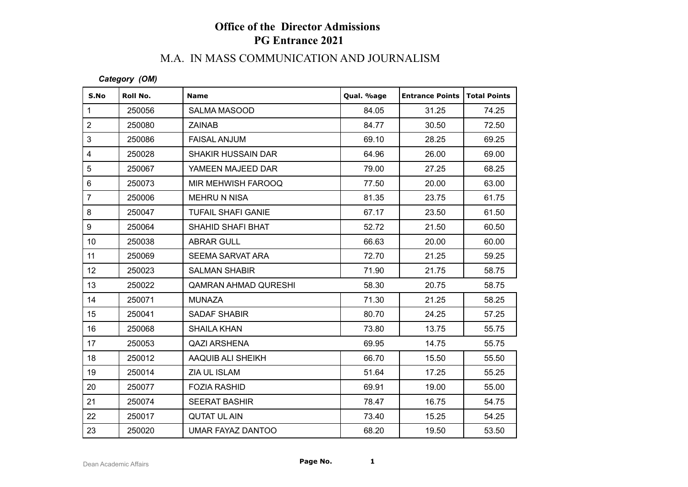## **Office of the Director Admissions PG Entrance 2021**

## M.A. IN MASS COMMUNICATION AND JOURNALISM

*Category (OM)*

| S.No            | Roll No. | <b>Name</b>               | Qual. %age | <b>Entrance Points   Total Points</b> |       |
|-----------------|----------|---------------------------|------------|---------------------------------------|-------|
| $\mathbf{1}$    | 250056   | SALMA MASOOD              | 84.05      | 31.25                                 | 74.25 |
| $\overline{2}$  | 250080   | <b>ZAINAB</b>             | 84.77      | 30.50                                 | 72.50 |
| 3               | 250086   | <b>FAISAL ANJUM</b>       | 69.10      | 28.25                                 | 69.25 |
| 4               | 250028   | <b>SHAKIR HUSSAIN DAR</b> | 64.96      | 26.00                                 | 69.00 |
| 5               | 250067   | YAMEEN MAJEED DAR         | 79.00      | 27.25                                 | 68.25 |
| 6               | 250073   | MIR MEHWISH FAROOQ        | 77.50      | 20.00                                 | 63.00 |
| $\overline{7}$  | 250006   | <b>MEHRU N NISA</b>       | 81.35      | 23.75                                 | 61.75 |
| 8               | 250047   | <b>TUFAIL SHAFI GANIE</b> | 67.17      | 23.50                                 | 61.50 |
| 9               | 250064   | SHAHID SHAFI BHAT         | 52.72      | 21.50                                 | 60.50 |
| 10 <sup>°</sup> | 250038   | <b>ABRAR GULL</b>         | 66.63      | 20.00                                 | 60.00 |
| 11              | 250069   | SEEMA SARVAT ARA          | 72.70      | 21.25                                 | 59.25 |
| 12              | 250023   | <b>SALMAN SHABIR</b>      | 71.90      | 21.75                                 | 58.75 |
| 13              | 250022   | QAMRAN AHMAD QURESHI      | 58.30      | 20.75                                 | 58.75 |
| 14              | 250071   | <b>MUNAZA</b>             | 71.30      | 21.25                                 | 58.25 |
| 15              | 250041   | SADAF SHABIR              | 80.70      | 24.25                                 | 57.25 |
| 16              | 250068   | <b>SHAILA KHAN</b>        | 73.80      | 13.75                                 | 55.75 |
| 17              | 250053   | <b>QAZI ARSHENA</b>       | 69.95      | 14.75                                 | 55.75 |
| 18              | 250012   | AAQUIB ALI SHEIKH         | 66.70      | 15.50                                 | 55.50 |
| 19              | 250014   | ZIA UL ISLAM              | 51.64      | 17.25                                 | 55.25 |
| 20              | 250077   | <b>FOZIA RASHID</b>       | 69.91      | 19.00                                 | 55.00 |
| 21              | 250074   | <b>SEERAT BASHIR</b>      | 78.47      | 16.75                                 | 54.75 |
| 22              | 250017   | <b>QUTAT UL AIN</b>       | 73.40      | 15.25                                 | 54.25 |
| 23              | 250020   | UMAR FAYAZ DANTOO         | 68.20      | 19.50                                 | 53.50 |